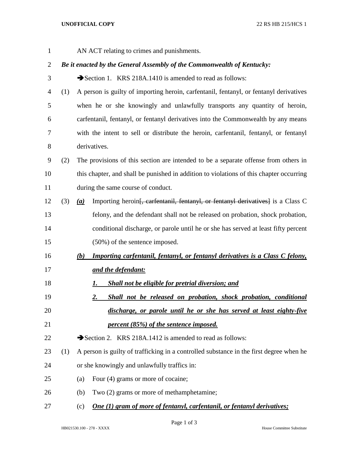AN ACT relating to crimes and punishments. *Be it enacted by the General Assembly of the Commonwealth of Kentucky:* 3 Section 1. KRS 218A.1410 is amended to read as follows: (1) A person is guilty of importing heroin, carfentanil, fentanyl, or fentanyl derivatives when he or she knowingly and unlawfully transports any quantity of heroin, carfentanil, fentanyl, or fentanyl derivatives into the Commonwealth by any means with the intent to sell or distribute the heroin, carfentanil, fentanyl, or fentanyl derivatives. (2) The provisions of this section are intended to be a separate offense from others in this chapter, and shall be punished in addition to violations of this chapter occurring during the same course of conduct. (3) *(a)* Importing heroin[, carfentanil, fentanyl, or fentanyl derivatives] is a Class C felony, and the defendant shall not be released on probation, shock probation, conditional discharge, or parole until he or she has served at least fifty percent (50%) of the sentence imposed. *(b) Importing carfentanil, fentanyl, or fentanyl derivatives is a Class C felony, and the defendant: 1. Shall not be eligible for pretrial diversion; and 2. Shall not be released on probation, shock probation, conditional discharge, or parole until he or she has served at least eighty-five percent (85%) of the sentence imposed.*  $\rightarrow$  Section 2. KRS 218A.1412 is amended to read as follows: (1) A person is guilty of trafficking in a controlled substance in the first degree when he or she knowingly and unlawfully traffics in: (a) Four (4) grams or more of cocaine; (b) Two (2) grams or more of methamphetamine; (c) *One (1) gram of more of fentanyl, carfentanil, or fentanyl derivatives;*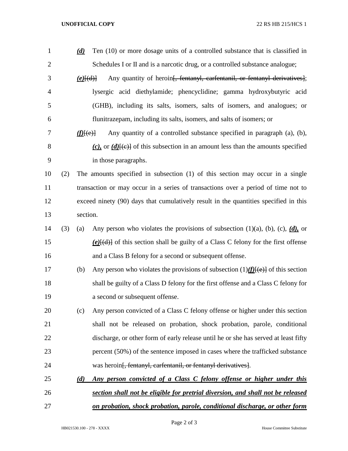## **UNOFFICIAL COPY** 22 RS HB 215/HCS 1

| $\mathbf{1}$   |     | (d)            | Ten (10) or more dosage units of a controlled substance that is classified in              |  |
|----------------|-----|----------------|--------------------------------------------------------------------------------------------|--|
| $\overline{2}$ |     |                | Schedules I or II and is a narcotic drug, or a controlled substance analogue;              |  |
| 3              |     | $(e)$ $\{d\}$  | Any quantity of heroin <del>[, fentanyl, carfentanil, or fentanyl derivatives]</del> ;     |  |
| $\overline{4}$ |     |                | lysergic acid diethylamide; phencyclidine; gamma hydroxybutyric acid                       |  |
| 5              |     |                | (GHB), including its salts, isomers, salts of isomers, and analogues; or                   |  |
| 6              |     |                | flunitrazepam, including its salts, isomers, and salts of isomers; or                      |  |
| 7              |     | $f(E(\theta))$ | Any quantity of a controlled substance specified in paragraph (a), (b),                    |  |
| 8              |     |                | (c), or $(d)$ [(e)] of this subsection in an amount less than the amounts specified        |  |
| 9              |     |                | in those paragraphs.                                                                       |  |
| 10             | (2) |                | The amounts specified in subsection (1) of this section may occur in a single              |  |
| 11             |     |                | transaction or may occur in a series of transactions over a period of time not to          |  |
| 12             |     |                | exceed ninety (90) days that cumulatively result in the quantities specified in this       |  |
| 13             |     | section.       |                                                                                            |  |
| 14             | (3) | (a)            | Any person who violates the provisions of subsection $(1)(a)$ , $(b)$ , $(c)$ , $(d)$ , or |  |
| 15             |     |                | $(e)$ { $(d)$ } of this section shall be guilty of a Class C felony for the first offense  |  |
| 16             |     |                | and a Class B felony for a second or subsequent offense.                                   |  |
| 17             |     | (b)            | Any person who violates the provisions of subsection $(1)$ ( $f$ ) $\{e\}$ of this section |  |
| 18             |     |                | shall be guilty of a Class D felony for the first offense and a Class C felony for         |  |
| 19             |     |                | a second or subsequent offense.                                                            |  |
| 20             |     | (c)            | Any person convicted of a Class C felony offense or higher under this section              |  |
| 21             |     |                | shall not be released on probation, shock probation, parole, conditional                   |  |
| 22             |     |                | discharge, or other form of early release until he or she has served at least fifty        |  |
| 23             |     |                | percent (50%) of the sentence imposed in cases where the trafficked substance              |  |
| 24             |     |                | was heroin <del>[, fentanyl, carfentanil, or fentanyl derivatives]</del> .                 |  |
| 25             |     | (d)            | Any person convicted of a Class C felony offense or higher under this                      |  |
| 26             |     |                | section shall not be eligible for pretrial diversion, and shall not be released            |  |
| 27             |     |                | on probation, shock probation, parole, conditional discharge, or other form                |  |